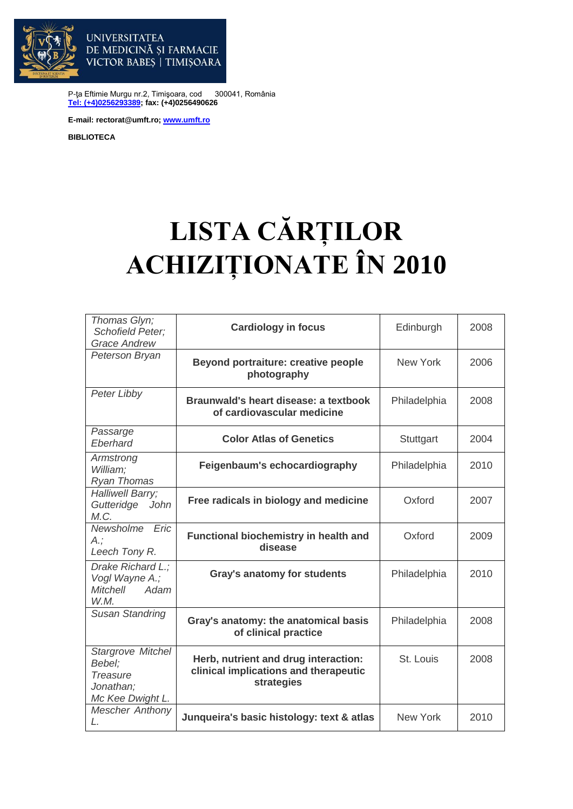

P-ţa Eftimie Murgu nr.2, Timişoara, cod 300041, România **[Tel: \(+4\)0256293389;](tel:(40)0256293389) fax: (+4)0256490626**

**E-mail: rectorat@umft.ro; [www.umft.ro](http://www.umft.ro/)**

DE MEDICINĂ ȘI FARMACIE VICTOR BABES | TIMISOARA

**UNIVERSITATEA** 

**BIBLIOTECA**

## **LISTA CĂRȚILOR ACHIZIȚIONATE ÎN 2010**

| Thomas Glyn;<br><b>Schofield Peter;</b><br><b>Grace Andrew</b>           | <b>Cardiology in focus</b>                                                                  | Edinburgh       | 2008 |
|--------------------------------------------------------------------------|---------------------------------------------------------------------------------------------|-----------------|------|
| Peterson Bryan                                                           | <b>Beyond portraiture: creative people</b><br>photography                                   | <b>New York</b> | 2006 |
| Peter Libby                                                              | Braunwald's heart disease: a textbook<br>of cardiovascular medicine                         | Philadelphia    | 2008 |
| Passarge<br>Eberhard                                                     | <b>Color Atlas of Genetics</b>                                                              | Stuttgart       | 2004 |
| Armstrong<br>William:<br>Ryan Thomas                                     | Feigenbaum's echocardiography                                                               | Philadelphia    | 2010 |
| Halliwell Barry;<br>Gutteridge<br>John<br>M.C.                           | Free radicals in biology and medicine                                                       | Oxford          | 2007 |
| Newsholme Eric<br>$A$ .;<br>Leech Tony R.                                | Functional biochemistry in health and<br>disease                                            | Oxford          | 2009 |
| Drake Richard L.;<br>Vogl Wayne A.;<br>Mitchell Adam<br>W.M.             | <b>Gray's anatomy for students</b>                                                          | Philadelphia    | 2010 |
| <b>Susan Standring</b>                                                   | Gray's anatomy: the anatomical basis<br>of clinical practice                                | Philadelphia    | 2008 |
| Stargrove Mitchel<br>Bebel;<br>Treasure<br>Jonathan;<br>Mc Kee Dwight L. | Herb, nutrient and drug interaction:<br>clinical implications and therapeutic<br>strategies | St. Louis       | 2008 |
| <b>Mescher Anthony</b><br>L.                                             | Junqueira's basic histology: text & atlas                                                   | <b>New York</b> | 2010 |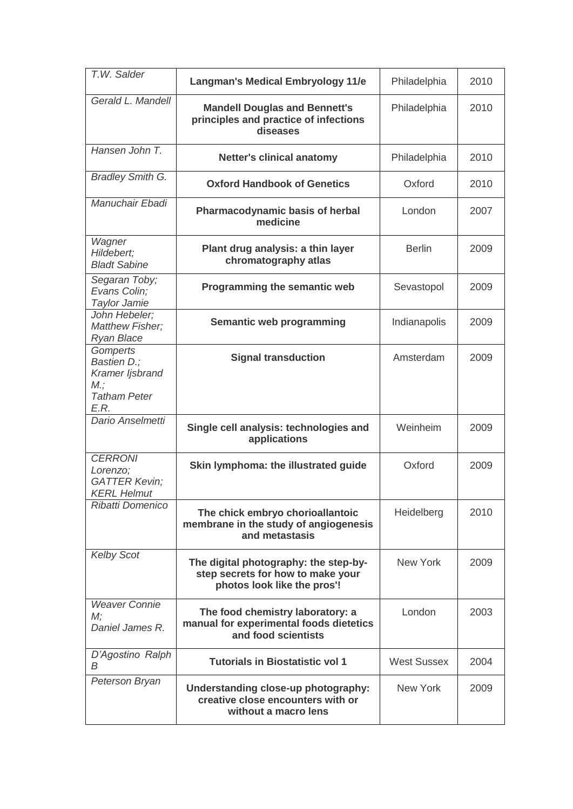| T.W. Salder                                                                     | <b>Langman's Medical Embryology 11/e</b>                                                                  | Philadelphia       | 2010 |
|---------------------------------------------------------------------------------|-----------------------------------------------------------------------------------------------------------|--------------------|------|
| Gerald L. Mandell                                                               | <b>Mandell Douglas and Bennett's</b><br>principles and practice of infections<br>diseases                 | Philadelphia       | 2010 |
| Hansen John T.                                                                  | <b>Netter's clinical anatomy</b>                                                                          | Philadelphia       | 2010 |
| <b>Bradley Smith G.</b>                                                         | <b>Oxford Handbook of Genetics</b>                                                                        | Oxford             | 2010 |
| Manuchair Ebadi                                                                 | <b>Pharmacodynamic basis of herbal</b><br>medicine                                                        | London             | 2007 |
| Wagner<br>Hildebert;<br><b>Bladt Sabine</b>                                     | Plant drug analysis: a thin layer<br>chromatography atlas                                                 | <b>Berlin</b>      | 2009 |
| Segaran Toby;<br>Evans Colin;<br>Taylor Jamie                                   | Programming the semantic web                                                                              | Sevastopol         | 2009 |
| John Hebeler;<br><b>Matthew Fisher;</b><br><b>Ryan Blace</b>                    | Semantic web programming                                                                                  | Indianapolis       | 2009 |
| Gomperts<br>Bastien D.;<br>Kramer ljsbrand<br>M:<br><b>Tatham Peter</b><br>E.R. | <b>Signal transduction</b>                                                                                | Amsterdam          | 2009 |
| Dario Anselmetti                                                                | Single cell analysis: technologies and<br>applications                                                    | Weinheim           | 2009 |
| <b>CERRONI</b><br>Lorenzo;<br><b>GATTER Kevin;</b><br><b>KERL Helmut</b>        | Skin lymphoma: the illustrated guide                                                                      | Oxford             | 2009 |
| Ribatti Domenico                                                                | The chick embryo chorioallantoic<br>membrane in the study of angiogenesis<br>and metastasis               | Heidelberg         | 2010 |
| <b>Kelby Scot</b>                                                               | The digital photography: the step-by-<br>step secrets for how to make your<br>photos look like the pros'! | New York           | 2009 |
| <b>Weaver Connie</b><br>M;<br>Daniel James R.                                   | The food chemistry laboratory: a<br>manual for experimental foods dietetics<br>and food scientists        | London             | 2003 |
| D'Agostino Ralph<br>B                                                           | <b>Tutorials in Biostatistic vol 1</b>                                                                    | <b>West Sussex</b> | 2004 |
| Peterson Bryan                                                                  | Understanding close-up photography:<br>creative close encounters with or<br>without a macro lens          | New York           | 2009 |